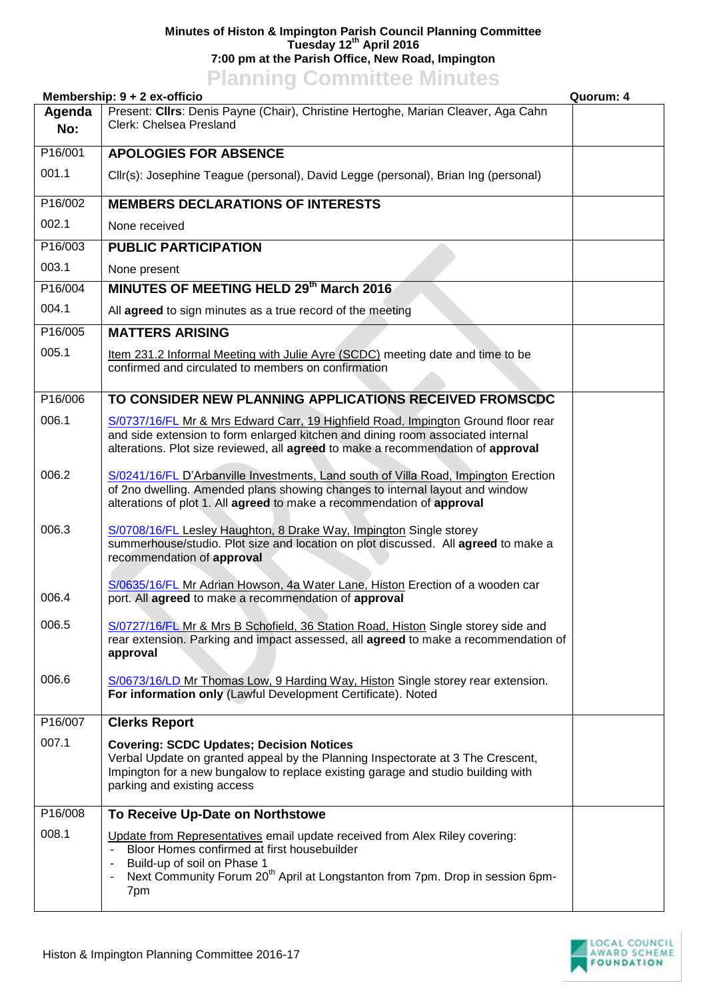## **Minutes of Histon & Impington Parish Council Planning Committee Tuesday 12th April 2016 7:00 pm at the Parish Office, New Road, Impington**

## **Planning Committee Minutes**

## **Membership: 9 + 2 ex-officio Quorum: 4**

|               | $m$ e $m$ bersin $m$ . $\sigma$ + $\epsilon$ ex-oritors                                                                                                                                                                                                                         |  |
|---------------|---------------------------------------------------------------------------------------------------------------------------------------------------------------------------------------------------------------------------------------------------------------------------------|--|
| Agenda<br>No: | Present: Cllrs: Denis Payne (Chair), Christine Hertoghe, Marian Cleaver, Aga Cahn<br>Clerk: Chelsea Presland                                                                                                                                                                    |  |
| P16/001       | <b>APOLOGIES FOR ABSENCE</b>                                                                                                                                                                                                                                                    |  |
| 001.1         | Cllr(s): Josephine Teague (personal), David Legge (personal), Brian Ing (personal)                                                                                                                                                                                              |  |
| P16/002       | <b>MEMBERS DECLARATIONS OF INTERESTS</b>                                                                                                                                                                                                                                        |  |
| 002.1         | None received                                                                                                                                                                                                                                                                   |  |
| P16/003       | <b>PUBLIC PARTICIPATION</b>                                                                                                                                                                                                                                                     |  |
| 003.1         | None present                                                                                                                                                                                                                                                                    |  |
| P16/004       | MINUTES OF MEETING HELD 29th March 2016                                                                                                                                                                                                                                         |  |
| 004.1         | All agreed to sign minutes as a true record of the meeting                                                                                                                                                                                                                      |  |
| P16/005       | <b>MATTERS ARISING</b>                                                                                                                                                                                                                                                          |  |
| 005.1         | Item 231.2 Informal Meeting with Julie Ayre (SCDC) meeting date and time to be<br>confirmed and circulated to members on confirmation                                                                                                                                           |  |
| P16/006       | TO CONSIDER NEW PLANNING APPLICATIONS RECEIVED FROMSCDC                                                                                                                                                                                                                         |  |
| 006.1         | S/0737/16/FL Mr & Mrs Edward Carr, 19 Highfield Road, Impington Ground floor rear<br>and side extension to form enlarged kitchen and dining room associated internal<br>alterations. Plot size reviewed, all agreed to make a recommendation of approval                        |  |
| 006.2         | S/0241/16/FL D'Arbanville Investments, Land south of Villa Road, Impington Erection<br>of 2no dwelling. Amended plans showing changes to internal layout and window<br>alterations of plot 1. All agreed to make a recommendation of approval                                   |  |
| 006.3         | S/0708/16/FL Lesley Haughton, 8 Drake Way, Impington Single storey<br>summerhouse/studio. Plot size and location on plot discussed. All agreed to make a<br>recommendation of approval                                                                                          |  |
| 006.4         | S/0635/16/FL Mr Adrian Howson, 4a Water Lane, Histon Erection of a wooden car<br>port. All agreed to make a recommendation of approval                                                                                                                                          |  |
| 006.5         | S/0727/16/FL Mr & Mrs B Schofield, 36 Station Road, Histon Single storey side and<br>rear extension. Parking and impact assessed, all <b>agreed</b> to make a recommendation of<br>approval                                                                                     |  |
| 006.6         | S/0673/16/LD Mr Thomas Low, 9 Harding Way, Histon Single storey rear extension.<br>For information only (Lawful Development Certificate). Noted                                                                                                                                 |  |
| P16/007       | <b>Clerks Report</b>                                                                                                                                                                                                                                                            |  |
| 007.1         | <b>Covering: SCDC Updates; Decision Notices</b><br>Verbal Update on granted appeal by the Planning Inspectorate at 3 The Crescent,<br>Impington for a new bungalow to replace existing garage and studio building with<br>parking and existing access                           |  |
| P16/008       | To Receive Up-Date on Northstowe                                                                                                                                                                                                                                                |  |
| 008.1         | Update from Representatives email update received from Alex Riley covering:<br>Bloor Homes confirmed at first housebuilder<br>Build-up of soil on Phase 1<br>Next Community Forum 20 <sup>th</sup> April at Longstanton from 7pm. Drop in session 6pm-<br>$\blacksquare$<br>7pm |  |